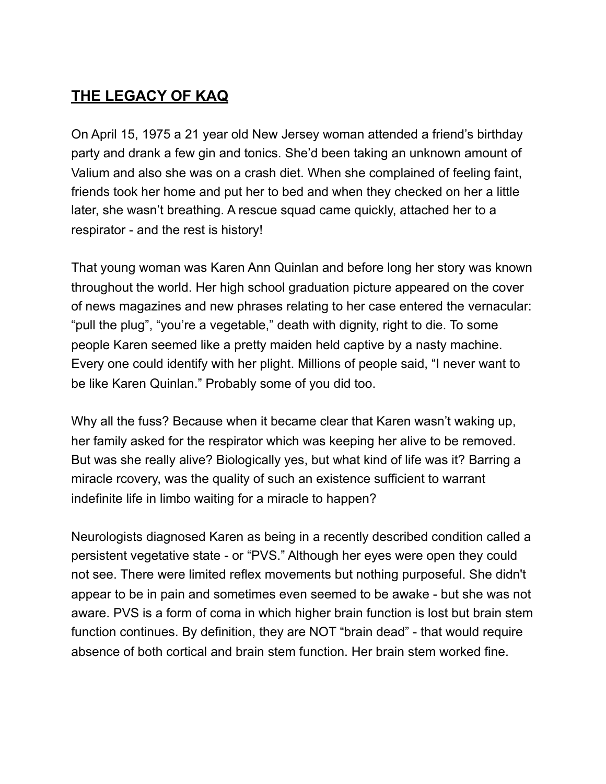# **THE LEGACY OF KAQ**

On April 15, 1975 a 21 year old New Jersey woman attended a friend's birthday party and drank a few gin and tonics. She'd been taking an unknown amount of Valium and also she was on a crash diet. When she complained of feeling faint, friends took her home and put her to bed and when they checked on her a little later, she wasn't breathing. A rescue squad came quickly, attached her to a respirator - and the rest is history!

That young woman was Karen Ann Quinlan and before long her story was known throughout the world. Her high school graduation picture appeared on the cover of news magazines and new phrases relating to her case entered the vernacular: "pull the plug", "you're a vegetable," death with dignity, right to die. To some people Karen seemed like a pretty maiden held captive by a nasty machine. Every one could identify with her plight. Millions of people said, "I never want to be like Karen Quinlan." Probably some of you did too.

Why all the fuss? Because when it became clear that Karen wasn't waking up, her family asked for the respirator which was keeping her alive to be removed. But was she really alive? Biologically yes, but what kind of life was it? Barring a miracle rcovery, was the quality of such an existence sufficient to warrant indefinite life in limbo waiting for a miracle to happen?

Neurologists diagnosed Karen as being in a recently described condition called a persistent vegetative state - or "PVS." Although her eyes were open they could not see. There were limited reflex movements but nothing purposeful. She didn't appear to be in pain and sometimes even seemed to be awake - but she was not aware. PVS is a form of coma in which higher brain function is lost but brain stem function continues. By definition, they are NOT "brain dead" - that would require absence of both cortical and brain stem function. Her brain stem worked fine.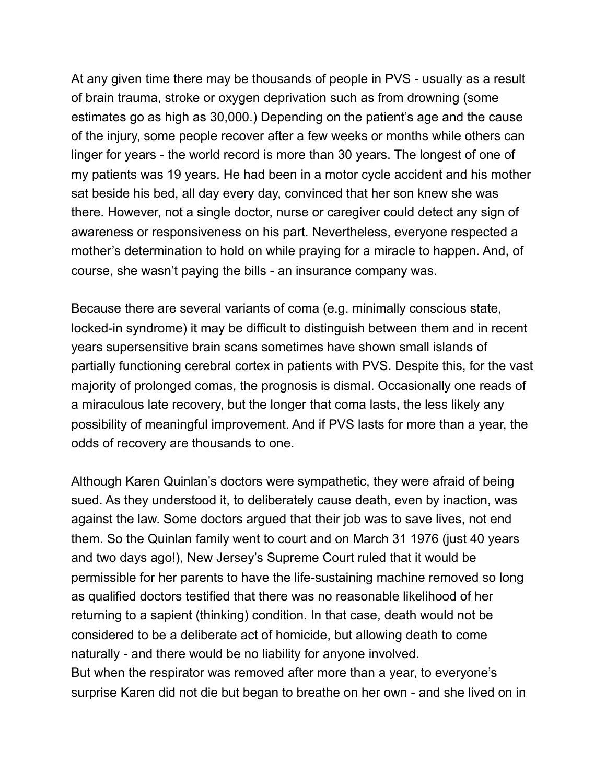At any given time there may be thousands of people in PVS - usually as a result of brain trauma, stroke or oxygen deprivation such as from drowning (some estimates go as high as 30,000.) Depending on the patient's age and the cause of the injury, some people recover after a few weeks or months while others can linger for years - the world record is more than 30 years. The longest of one of my patients was 19 years. He had been in a motor cycle accident and his mother sat beside his bed, all day every day, convinced that her son knew she was there. However, not a single doctor, nurse or caregiver could detect any sign of awareness or responsiveness on his part. Nevertheless, everyone respected a mother's determination to hold on while praying for a miracle to happen. And, of course, she wasn't paying the bills - an insurance company was.

Because there are several variants of coma (e.g. minimally conscious state, locked-in syndrome) it may be difficult to distinguish between them and in recent years supersensitive brain scans sometimes have shown small islands of partially functioning cerebral cortex in patients with PVS. Despite this, for the vast majority of prolonged comas, the prognosis is dismal. Occasionally one reads of a miraculous late recovery, but the longer that coma lasts, the less likely any possibility of meaningful improvement. And if PVS lasts for more than a year, the odds of recovery are thousands to one.

Although Karen Quinlan's doctors were sympathetic, they were afraid of being sued. As they understood it, to deliberately cause death, even by inaction, was against the law. Some doctors argued that their job was to save lives, not end them. So the Quinlan family went to court and on March 31 1976 (just 40 years and two days ago!), New Jersey's Supreme Court ruled that it would be permissible for her parents to have the life-sustaining machine removed so long as qualified doctors testified that there was no reasonable likelihood of her returning to a sapient (thinking) condition. In that case, death would not be considered to be a deliberate act of homicide, but allowing death to come naturally - and there would be no liability for anyone involved. But when the respirator was removed after more than a year, to everyone's surprise Karen did not die but began to breathe on her own - and she lived on in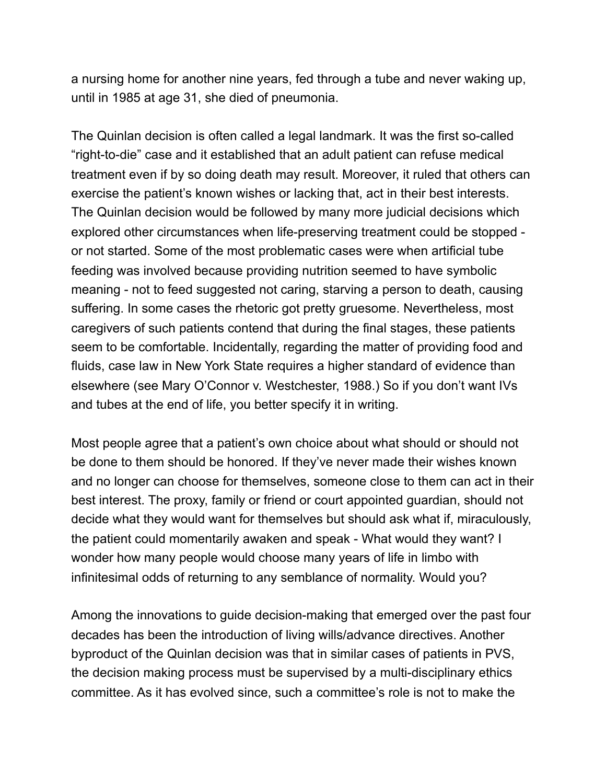a nursing home for another nine years, fed through a tube and never waking up, until in 1985 at age 31, she died of pneumonia.

The Quinlan decision is often called a legal landmark. It was the first so-called "right-to-die" case and it established that an adult patient can refuse medical treatment even if by so doing death may result. Moreover, it ruled that others can exercise the patient's known wishes or lacking that, act in their best interests. The Quinlan decision would be followed by many more judicial decisions which explored other circumstances when life-preserving treatment could be stopped or not started. Some of the most problematic cases were when artificial tube feeding was involved because providing nutrition seemed to have symbolic meaning - not to feed suggested not caring, starving a person to death, causing suffering. In some cases the rhetoric got pretty gruesome. Nevertheless, most caregivers of such patients contend that during the final stages, these patients seem to be comfortable. Incidentally, regarding the matter of providing food and fluids, case law in New York State requires a higher standard of evidence than elsewhere (see Mary O'Connor v. Westchester, 1988.) So if you don't want IVs and tubes at the end of life, you better specify it in writing.

Most people agree that a patient's own choice about what should or should not be done to them should be honored. If they've never made their wishes known and no longer can choose for themselves, someone close to them can act in their best interest. The proxy, family or friend or court appointed guardian, should not decide what they would want for themselves but should ask what if, miraculously, the patient could momentarily awaken and speak - What would they want? I wonder how many people would choose many years of life in limbo with infinitesimal odds of returning to any semblance of normality. Would you?

Among the innovations to guide decision-making that emerged over the past four decades has been the introduction of living wills/advance directives. Another byproduct of the Quinlan decision was that in similar cases of patients in PVS, the decision making process must be supervised by a multi-disciplinary ethics committee. As it has evolved since, such a committee's role is not to make the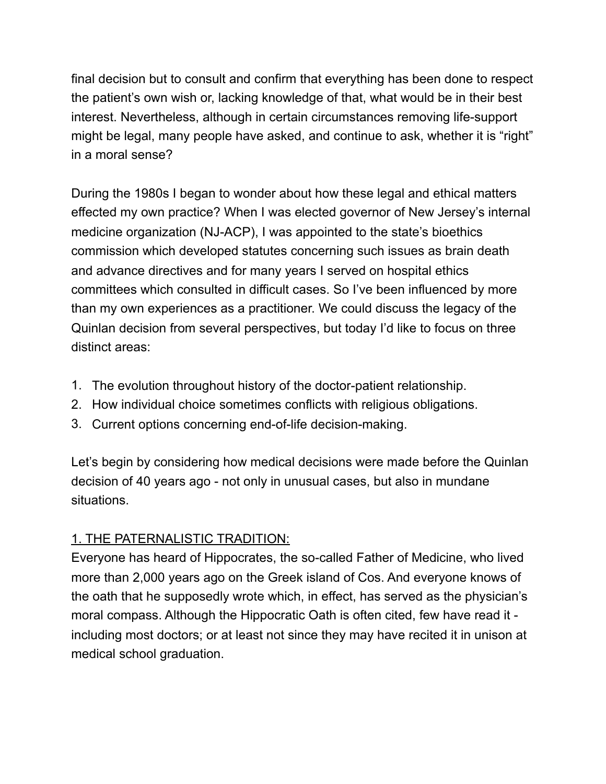final decision but to consult and confirm that everything has been done to respect the patient's own wish or, lacking knowledge of that, what would be in their best interest. Nevertheless, although in certain circumstances removing life-support might be legal, many people have asked, and continue to ask, whether it is "right" in a moral sense?

During the 1980s I began to wonder about how these legal and ethical matters effected my own practice? When I was elected governor of New Jersey's internal medicine organization (NJ-ACP), I was appointed to the state's bioethics commission which developed statutes concerning such issues as brain death and advance directives and for many years I served on hospital ethics committees which consulted in difficult cases. So I've been influenced by more than my own experiences as a practitioner. We could discuss the legacy of the Quinlan decision from several perspectives, but today I'd like to focus on three distinct areas:

- 1. The evolution throughout history of the doctor-patient relationship.
- 2. How individual choice sometimes conflicts with religious obligations.
- 3. Current options concerning end-of-life decision-making.

Let's begin by considering how medical decisions were made before the Quinlan decision of 40 years ago - not only in unusual cases, but also in mundane situations.

# 1. THE PATERNALISTIC TRADITION:

Everyone has heard of Hippocrates, the so-called Father of Medicine, who lived more than 2,000 years ago on the Greek island of Cos. And everyone knows of the oath that he supposedly wrote which, in effect, has served as the physician's moral compass. Although the Hippocratic Oath is often cited, few have read it including most doctors; or at least not since they may have recited it in unison at medical school graduation.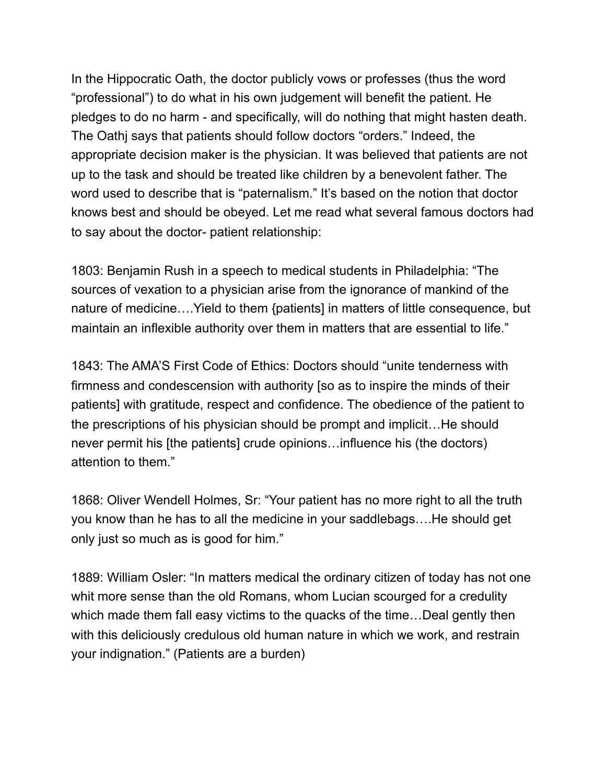In the Hippocratic Oath, the doctor publicly vows or professes (thus the word "professional") to do what in his own judgement will benefit the patient. He pledges to do no harm - and specifically, will do nothing that might hasten death. The Oathj says that patients should follow doctors "orders." Indeed, the appropriate decision maker is the physician. It was believed that patients are not up to the task and should be treated like children by a benevolent father. The word used to describe that is "paternalism." It's based on the notion that doctor knows best and should be obeyed. Let me read what several famous doctors had to say about the doctor- patient relationship:

1803: Benjamin Rush in a speech to medical students in Philadelphia: "The sources of vexation to a physician arise from the ignorance of mankind of the nature of medicine….Yield to them {patients] in matters of little consequence, but maintain an inflexible authority over them in matters that are essential to life."

1843: The AMA'S First Code of Ethics: Doctors should "unite tenderness with firmness and condescension with authority [so as to inspire the minds of their patients] with gratitude, respect and confidence. The obedience of the patient to the prescriptions of his physician should be prompt and implicit…He should never permit his [the patients] crude opinions…influence his (the doctors) attention to them."

1868: Oliver Wendell Holmes, Sr: "Your patient has no more right to all the truth you know than he has to all the medicine in your saddlebags….He should get only just so much as is good for him."

1889: William Osler: "In matters medical the ordinary citizen of today has not one whit more sense than the old Romans, whom Lucian scourged for a credulity which made them fall easy victims to the quacks of the time…Deal gently then with this deliciously credulous old human nature in which we work, and restrain your indignation." (Patients are a burden)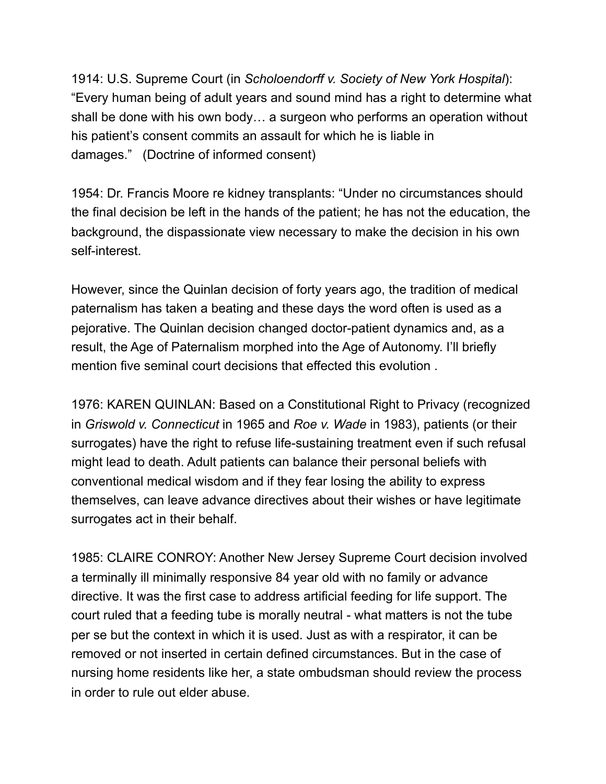1914: U.S. Supreme Court (in *Scholoendorff v. Society of New York Hospital*): "Every human being of adult years and sound mind has a right to determine what shall be done with his own body… a surgeon who performs an operation without his patient's consent commits an assault for which he is liable in damages." (Doctrine of informed consent)

1954: Dr. Francis Moore re kidney transplants: "Under no circumstances should the final decision be left in the hands of the patient; he has not the education, the background, the dispassionate view necessary to make the decision in his own self-interest.

However, since the Quinlan decision of forty years ago, the tradition of medical paternalism has taken a beating and these days the word often is used as a pejorative. The Quinlan decision changed doctor-patient dynamics and, as a result, the Age of Paternalism morphed into the Age of Autonomy. I'll briefly mention five seminal court decisions that effected this evolution .

1976: KAREN QUINLAN: Based on a Constitutional Right to Privacy (recognized in *Griswold v. Connecticut* in 1965 and *Roe v. Wade* in 1983), patients (or their surrogates) have the right to refuse life-sustaining treatment even if such refusal might lead to death. Adult patients can balance their personal beliefs with conventional medical wisdom and if they fear losing the ability to express themselves, can leave advance directives about their wishes or have legitimate surrogates act in their behalf.

1985: CLAIRE CONROY: Another New Jersey Supreme Court decision involved a terminally ill minimally responsive 84 year old with no family or advance directive. It was the first case to address artificial feeding for life support. The court ruled that a feeding tube is morally neutral - what matters is not the tube per se but the context in which it is used. Just as with a respirator, it can be removed or not inserted in certain defined circumstances. But in the case of nursing home residents like her, a state ombudsman should review the process in order to rule out elder abuse.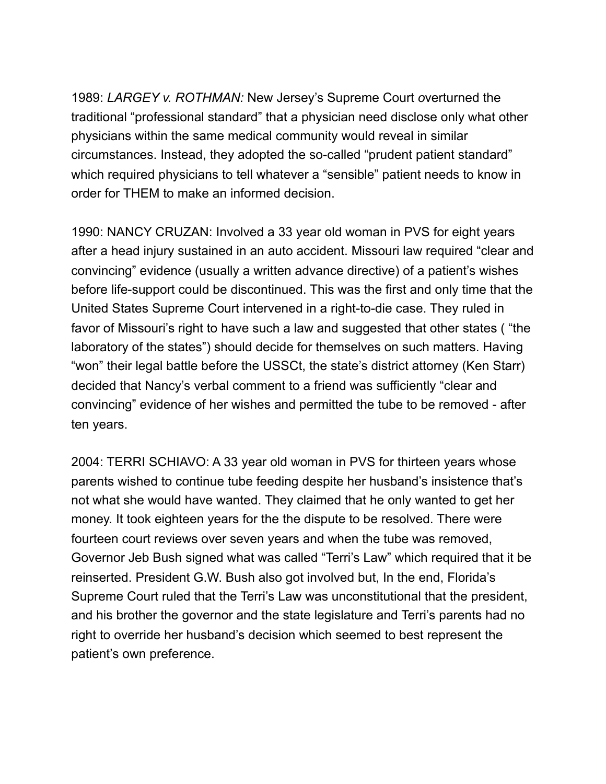1989: *LARGEY v. ROTHMAN:* New Jersey's Supreme Court *o*verturned the traditional "professional standard" that a physician need disclose only what other physicians within the same medical community would reveal in similar circumstances. Instead, they adopted the so-called "prudent patient standard" which required physicians to tell whatever a "sensible" patient needs to know in order for THEM to make an informed decision.

1990: NANCY CRUZAN: Involved a 33 year old woman in PVS for eight years after a head injury sustained in an auto accident. Missouri law required "clear and convincing" evidence (usually a written advance directive) of a patient's wishes before life-support could be discontinued. This was the first and only time that the United States Supreme Court intervened in a right-to-die case. They ruled in favor of Missouri's right to have such a law and suggested that other states ( "the laboratory of the states") should decide for themselves on such matters. Having "won" their legal battle before the USSCt, the state's district attorney (Ken Starr) decided that Nancy's verbal comment to a friend was sufficiently "clear and convincing" evidence of her wishes and permitted the tube to be removed - after ten years.

2004: TERRI SCHIAVO: A 33 year old woman in PVS for thirteen years whose parents wished to continue tube feeding despite her husband's insistence that's not what she would have wanted. They claimed that he only wanted to get her money. It took eighteen years for the the dispute to be resolved. There were fourteen court reviews over seven years and when the tube was removed, Governor Jeb Bush signed what was called "Terri's Law" which required that it be reinserted. President G.W. Bush also got involved but, In the end, Florida's Supreme Court ruled that the Terri's Law was unconstitutional that the president, and his brother the governor and the state legislature and Terri's parents had no right to override her husband's decision which seemed to best represent the patient's own preference.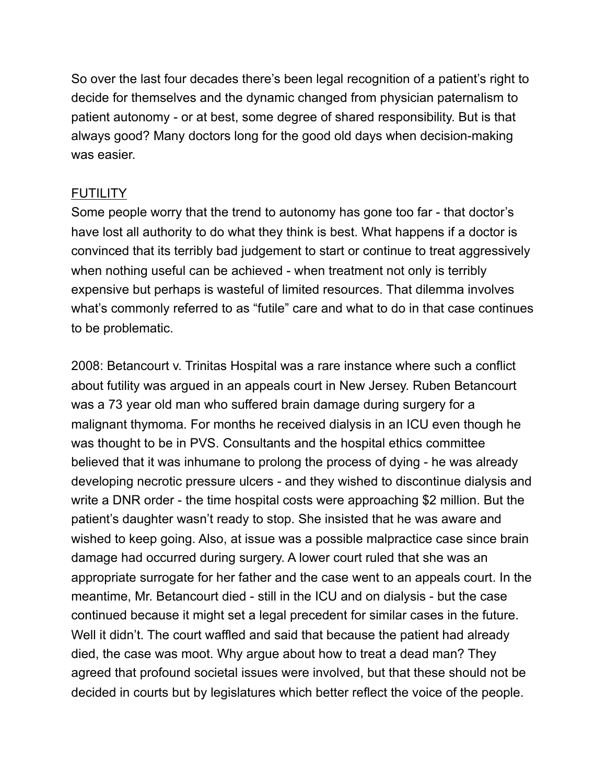So over the last four decades there's been legal recognition of a patient's right to decide for themselves and the dynamic changed from physician paternalism to patient autonomy - or at best, some degree of shared responsibility. But is that always good? Many doctors long for the good old days when decision-making was easier.

### **FUTILITY**

Some people worry that the trend to autonomy has gone too far - that doctor's have lost all authority to do what they think is best. What happens if a doctor is convinced that its terribly bad judgement to start or continue to treat aggressively when nothing useful can be achieved - when treatment not only is terribly expensive but perhaps is wasteful of limited resources. That dilemma involves what's commonly referred to as "futile" care and what to do in that case continues to be problematic.

2008: Betancourt v. Trinitas Hospital was a rare instance where such a conflict about futility was argued in an appeals court in New Jersey. Ruben Betancourt was a 73 year old man who suffered brain damage during surgery for a malignant thymoma. For months he received dialysis in an ICU even though he was thought to be in PVS. Consultants and the hospital ethics committee believed that it was inhumane to prolong the process of dying - he was already developing necrotic pressure ulcers - and they wished to discontinue dialysis and write a DNR order - the time hospital costs were approaching \$2 million. But the patient's daughter wasn't ready to stop. She insisted that he was aware and wished to keep going. Also, at issue was a possible malpractice case since brain damage had occurred during surgery. A lower court ruled that she was an appropriate surrogate for her father and the case went to an appeals court. In the meantime, Mr. Betancourt died - still in the ICU and on dialysis - but the case continued because it might set a legal precedent for similar cases in the future. Well it didn't. The court waffled and said that because the patient had already died, the case was moot. Why argue about how to treat a dead man? They agreed that profound societal issues were involved, but that these should not be decided in courts but by legislatures which better reflect the voice of the people.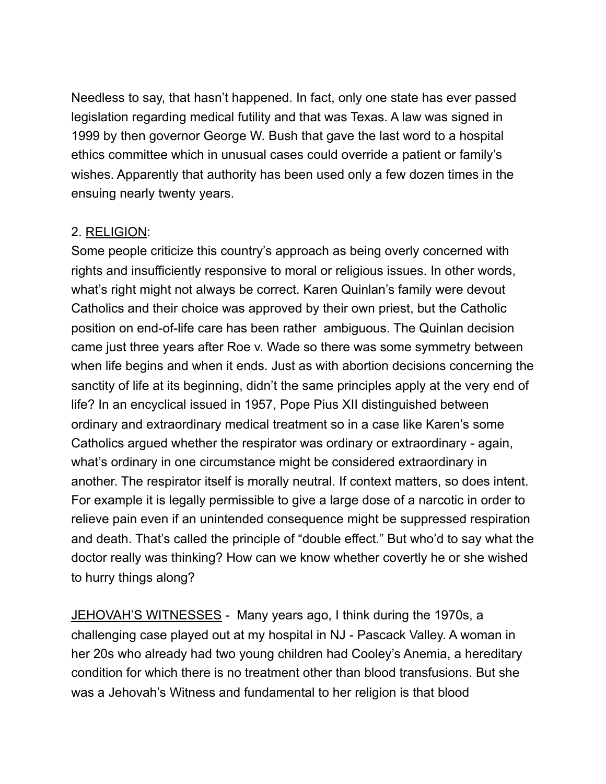Needless to say, that hasn't happened. In fact, only one state has ever passed legislation regarding medical futility and that was Texas. A law was signed in 1999 by then governor George W. Bush that gave the last word to a hospital ethics committee which in unusual cases could override a patient or family's wishes. Apparently that authority has been used only a few dozen times in the ensuing nearly twenty years.

#### 2. RELIGION:

Some people criticize this country's approach as being overly concerned with rights and insufficiently responsive to moral or religious issues. In other words, what's right might not always be correct. Karen Quinlan's family were devout Catholics and their choice was approved by their own priest, but the Catholic position on end-of-life care has been rather ambiguous. The Quinlan decision came just three years after Roe v. Wade so there was some symmetry between when life begins and when it ends. Just as with abortion decisions concerning the sanctity of life at its beginning, didn't the same principles apply at the very end of life? In an encyclical issued in 1957, Pope Pius XII distinguished between ordinary and extraordinary medical treatment so in a case like Karen's some Catholics argued whether the respirator was ordinary or extraordinary - again, what's ordinary in one circumstance might be considered extraordinary in another. The respirator itself is morally neutral. If context matters, so does intent. For example it is legally permissible to give a large dose of a narcotic in order to relieve pain even if an unintended consequence might be suppressed respiration and death. That's called the principle of "double effect." But who'd to say what the doctor really was thinking? How can we know whether covertly he or she wished to hurry things along?

JEHOVAH'S WITNESSES - Many years ago, I think during the 1970s, a challenging case played out at my hospital in NJ - Pascack Valley. A woman in her 20s who already had two young children had Cooley's Anemia, a hereditary condition for which there is no treatment other than blood transfusions. But she was a Jehovah's Witness and fundamental to her religion is that blood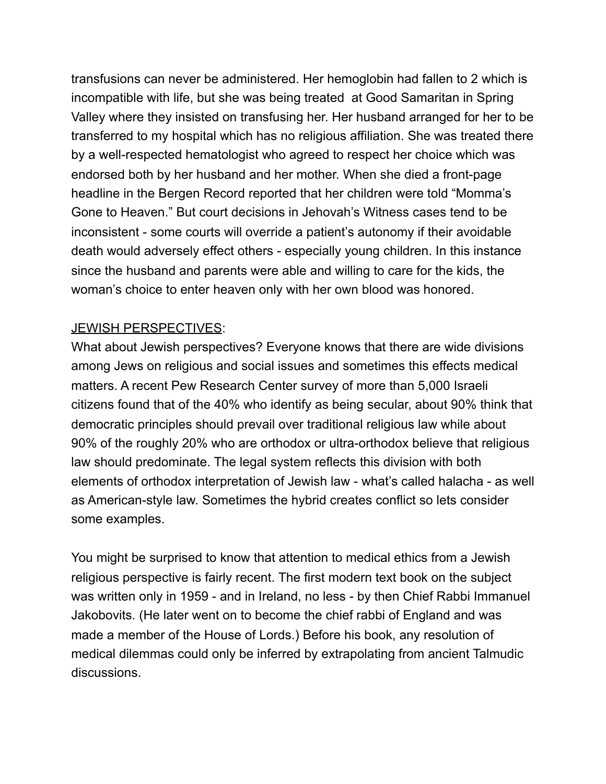transfusions can never be administered. Her hemoglobin had fallen to 2 which is incompatible with life, but she was being treated at Good Samaritan in Spring Valley where they insisted on transfusing her. Her husband arranged for her to be transferred to my hospital which has no religious affiliation. She was treated there by a well-respected hematologist who agreed to respect her choice which was endorsed both by her husband and her mother. When she died a front-page headline in the Bergen Record reported that her children were told "Momma's Gone to Heaven." But court decisions in Jehovah's Witness cases tend to be inconsistent - some courts will override a patient's autonomy if their avoidable death would adversely effect others - especially young children. In this instance since the husband and parents were able and willing to care for the kids, the woman's choice to enter heaven only with her own blood was honored.

### JEWISH PERSPECTIVES:

What about Jewish perspectives? Everyone knows that there are wide divisions among Jews on religious and social issues and sometimes this effects medical matters. A recent Pew Research Center survey of more than 5,000 Israeli citizens found that of the 40% who identify as being secular, about 90% think that democratic principles should prevail over traditional religious law while about 90% of the roughly 20% who are orthodox or ultra-orthodox believe that religious law should predominate. The legal system reflects this division with both elements of orthodox interpretation of Jewish law - what's called halacha - as well as American-style law. Sometimes the hybrid creates conflict so lets consider some examples.

You might be surprised to know that attention to medical ethics from a Jewish religious perspective is fairly recent. The first modern text book on the subject was written only in 1959 - and in Ireland, no less - by then Chief Rabbi Immanuel Jakobovits. (He later went on to become the chief rabbi of England and was made a member of the House of Lords.) Before his book, any resolution of medical dilemmas could only be inferred by extrapolating from ancient Talmudic discussions.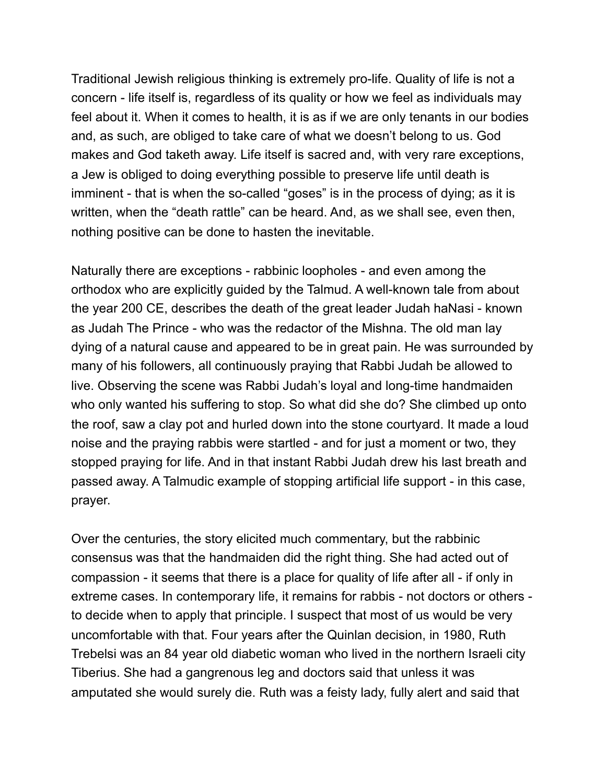Traditional Jewish religious thinking is extremely pro-life. Quality of life is not a concern - life itself is, regardless of its quality or how we feel as individuals may feel about it. When it comes to health, it is as if we are only tenants in our bodies and, as such, are obliged to take care of what we doesn't belong to us. God makes and God taketh away. Life itself is sacred and, with very rare exceptions, a Jew is obliged to doing everything possible to preserve life until death is imminent - that is when the so-called "goses" is in the process of dying; as it is written, when the "death rattle" can be heard. And, as we shall see, even then, nothing positive can be done to hasten the inevitable.

Naturally there are exceptions - rabbinic loopholes - and even among the orthodox who are explicitly guided by the Talmud. A well-known tale from about the year 200 CE, describes the death of the great leader Judah haNasi - known as Judah The Prince - who was the redactor of the Mishna. The old man lay dying of a natural cause and appeared to be in great pain. He was surrounded by many of his followers, all continuously praying that Rabbi Judah be allowed to live. Observing the scene was Rabbi Judah's loyal and long-time handmaiden who only wanted his suffering to stop. So what did she do? She climbed up onto the roof, saw a clay pot and hurled down into the stone courtyard. It made a loud noise and the praying rabbis were startled - and for just a moment or two, they stopped praying for life. And in that instant Rabbi Judah drew his last breath and passed away. A Talmudic example of stopping artificial life support - in this case, prayer.

Over the centuries, the story elicited much commentary, but the rabbinic consensus was that the handmaiden did the right thing. She had acted out of compassion - it seems that there is a place for quality of life after all - if only in extreme cases. In contemporary life, it remains for rabbis - not doctors or others to decide when to apply that principle. I suspect that most of us would be very uncomfortable with that. Four years after the Quinlan decision, in 1980, Ruth Trebelsi was an 84 year old diabetic woman who lived in the northern Israeli city Tiberius. She had a gangrenous leg and doctors said that unless it was amputated she would surely die. Ruth was a feisty lady, fully alert and said that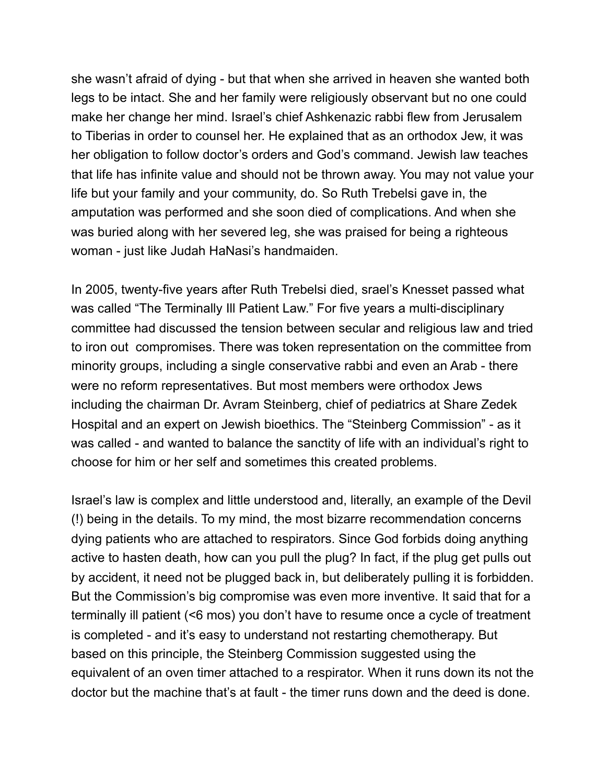she wasn't afraid of dying - but that when she arrived in heaven she wanted both legs to be intact. She and her family were religiously observant but no one could make her change her mind. Israel's chief Ashkenazic rabbi flew from Jerusalem to Tiberias in order to counsel her. He explained that as an orthodox Jew, it was her obligation to follow doctor's orders and God's command. Jewish law teaches that life has infinite value and should not be thrown away. You may not value your life but your family and your community, do. So Ruth Trebelsi gave in, the amputation was performed and she soon died of complications. And when she was buried along with her severed leg, she was praised for being a righteous woman - just like Judah HaNasi's handmaiden.

In 2005, twenty-five years after Ruth Trebelsi died, srael's Knesset passed what was called "The Terminally Ill Patient Law." For five years a multi-disciplinary committee had discussed the tension between secular and religious law and tried to iron out compromises. There was token representation on the committee from minority groups, including a single conservative rabbi and even an Arab - there were no reform representatives. But most members were orthodox Jews including the chairman Dr. Avram Steinberg, chief of pediatrics at Share Zedek Hospital and an expert on Jewish bioethics. The "Steinberg Commission" - as it was called - and wanted to balance the sanctity of life with an individual's right to choose for him or her self and sometimes this created problems.

Israel's law is complex and little understood and, literally, an example of the Devil (!) being in the details. To my mind, the most bizarre recommendation concerns dying patients who are attached to respirators. Since God forbids doing anything active to hasten death, how can you pull the plug? In fact, if the plug get pulls out by accident, it need not be plugged back in, but deliberately pulling it is forbidden. But the Commission's big compromise was even more inventive. It said that for a terminally ill patient (<6 mos) you don't have to resume once a cycle of treatment is completed - and it's easy to understand not restarting chemotherapy. But based on this principle, the Steinberg Commission suggested using the equivalent of an oven timer attached to a respirator. When it runs down its not the doctor but the machine that's at fault - the timer runs down and the deed is done.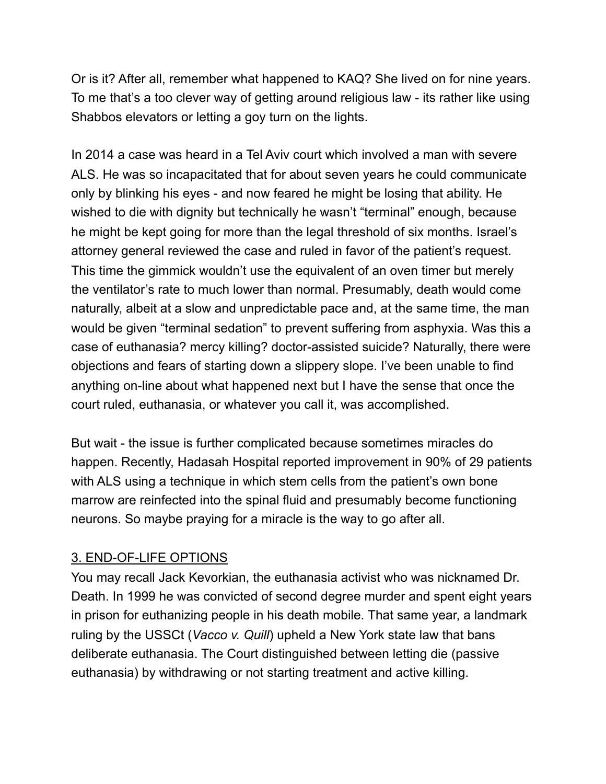Or is it? After all, remember what happened to KAQ? She lived on for nine years. To me that's a too clever way of getting around religious law - its rather like using Shabbos elevators or letting a goy turn on the lights.

In 2014 a case was heard in a Tel Aviv court which involved a man with severe ALS. He was so incapacitated that for about seven years he could communicate only by blinking his eyes - and now feared he might be losing that ability. He wished to die with dignity but technically he wasn't "terminal" enough, because he might be kept going for more than the legal threshold of six months. Israel's attorney general reviewed the case and ruled in favor of the patient's request. This time the gimmick wouldn't use the equivalent of an oven timer but merely the ventilator's rate to much lower than normal. Presumably, death would come naturally, albeit at a slow and unpredictable pace and, at the same time, the man would be given "terminal sedation" to prevent suffering from asphyxia. Was this a case of euthanasia? mercy killing? doctor-assisted suicide? Naturally, there were objections and fears of starting down a slippery slope. I've been unable to find anything on-line about what happened next but I have the sense that once the court ruled, euthanasia, or whatever you call it, was accomplished.

But wait - the issue is further complicated because sometimes miracles do happen. Recently, Hadasah Hospital reported improvement in 90% of 29 patients with ALS using a technique in which stem cells from the patient's own bone marrow are reinfected into the spinal fluid and presumably become functioning neurons. So maybe praying for a miracle is the way to go after all.

## 3. END-OF-LIFE OPTIONS

You may recall Jack Kevorkian, the euthanasia activist who was nicknamed Dr. Death. In 1999 he was convicted of second degree murder and spent eight years in prison for euthanizing people in his death mobile. That same year, a landmark ruling by the USSCt (*Vacco v. Quill*) upheld a New York state law that bans deliberate euthanasia. The Court distinguished between letting die (passive euthanasia) by withdrawing or not starting treatment and active killing.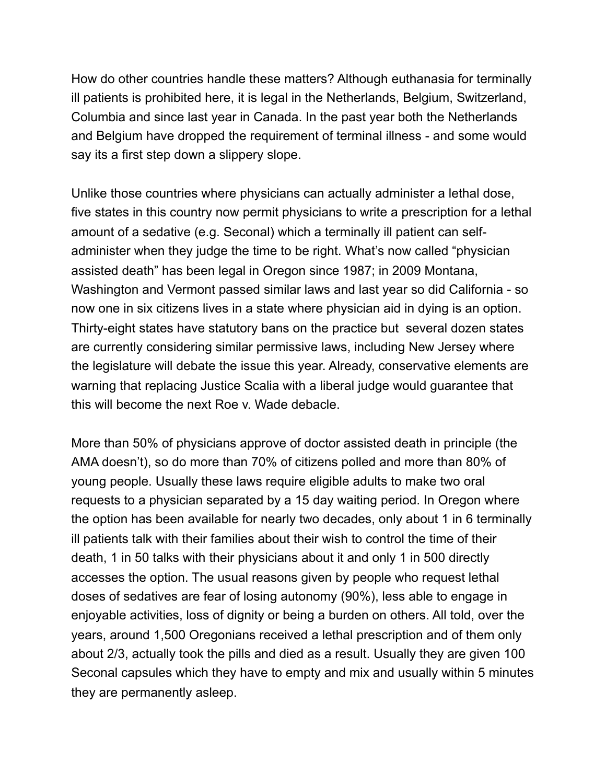How do other countries handle these matters? Although euthanasia for terminally ill patients is prohibited here, it is legal in the Netherlands, Belgium, Switzerland, Columbia and since last year in Canada. In the past year both the Netherlands and Belgium have dropped the requirement of terminal illness - and some would say its a first step down a slippery slope.

Unlike those countries where physicians can actually administer a lethal dose, five states in this country now permit physicians to write a prescription for a lethal amount of a sedative (e.g. Seconal) which a terminally ill patient can selfadminister when they judge the time to be right. What's now called "physician assisted death" has been legal in Oregon since 1987; in 2009 Montana, Washington and Vermont passed similar laws and last year so did California - so now one in six citizens lives in a state where physician aid in dying is an option. Thirty-eight states have statutory bans on the practice but several dozen states are currently considering similar permissive laws, including New Jersey where the legislature will debate the issue this year. Already, conservative elements are warning that replacing Justice Scalia with a liberal judge would guarantee that this will become the next Roe v. Wade debacle.

More than 50% of physicians approve of doctor assisted death in principle (the AMA doesn't), so do more than 70% of citizens polled and more than 80% of young people. Usually these laws require eligible adults to make two oral requests to a physician separated by a 15 day waiting period. In Oregon where the option has been available for nearly two decades, only about 1 in 6 terminally ill patients talk with their families about their wish to control the time of their death, 1 in 50 talks with their physicians about it and only 1 in 500 directly accesses the option. The usual reasons given by people who request lethal doses of sedatives are fear of losing autonomy (90%), less able to engage in enjoyable activities, loss of dignity or being a burden on others. All told, over the years, around 1,500 Oregonians received a lethal prescription and of them only about 2/3, actually took the pills and died as a result. Usually they are given 100 Seconal capsules which they have to empty and mix and usually within 5 minutes they are permanently asleep.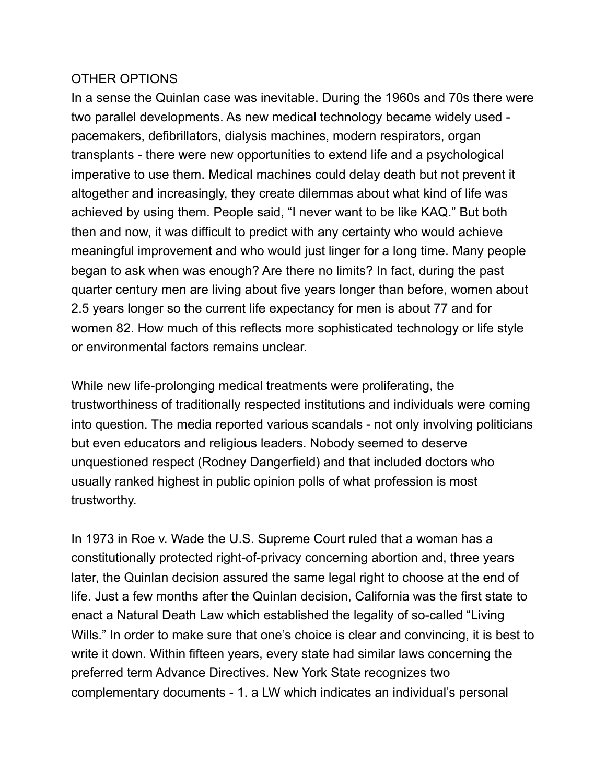#### OTHER OPTIONS

In a sense the Quinlan case was inevitable. During the 1960s and 70s there were two parallel developments. As new medical technology became widely used pacemakers, defibrillators, dialysis machines, modern respirators, organ transplants - there were new opportunities to extend life and a psychological imperative to use them. Medical machines could delay death but not prevent it altogether and increasingly, they create dilemmas about what kind of life was achieved by using them. People said, "I never want to be like KAQ." But both then and now, it was difficult to predict with any certainty who would achieve meaningful improvement and who would just linger for a long time. Many people began to ask when was enough? Are there no limits? In fact, during the past quarter century men are living about five years longer than before, women about 2.5 years longer so the current life expectancy for men is about 77 and for women 82. How much of this reflects more sophisticated technology or life style or environmental factors remains unclear.

While new life-prolonging medical treatments were proliferating, the trustworthiness of traditionally respected institutions and individuals were coming into question. The media reported various scandals - not only involving politicians but even educators and religious leaders. Nobody seemed to deserve unquestioned respect (Rodney Dangerfield) and that included doctors who usually ranked highest in public opinion polls of what profession is most trustworthy.

In 1973 in Roe v. Wade the U.S. Supreme Court ruled that a woman has a constitutionally protected right-of-privacy concerning abortion and, three years later, the Quinlan decision assured the same legal right to choose at the end of life. Just a few months after the Quinlan decision, California was the first state to enact a Natural Death Law which established the legality of so-called "Living Wills." In order to make sure that one's choice is clear and convincing, it is best to write it down. Within fifteen years, every state had similar laws concerning the preferred term Advance Directives. New York State recognizes two complementary documents - 1. a LW which indicates an individual's personal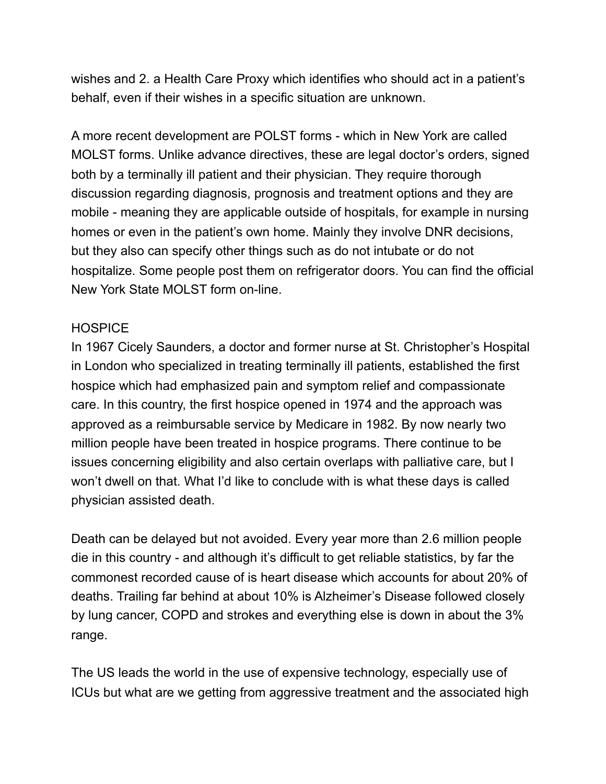wishes and 2. a Health Care Proxy which identifies who should act in a patient's behalf, even if their wishes in a specific situation are unknown.

A more recent development are POLST forms - which in New York are called MOLST forms. Unlike advance directives, these are legal doctor's orders, signed both by a terminally ill patient and their physician. They require thorough discussion regarding diagnosis, prognosis and treatment options and they are mobile - meaning they are applicable outside of hospitals, for example in nursing homes or even in the patient's own home. Mainly they involve DNR decisions, but they also can specify other things such as do not intubate or do not hospitalize. Some people post them on refrigerator doors. You can find the official New York State MOLST form on-line.

### **HOSPICE**

In 1967 Cicely Saunders, a doctor and former nurse at St. Christopher's Hospital in London who specialized in treating terminally ill patients, established the first hospice which had emphasized pain and symptom relief and compassionate care. In this country, the first hospice opened in 1974 and the approach was approved as a reimbursable service by Medicare in 1982. By now nearly two million people have been treated in hospice programs. There continue to be issues concerning eligibility and also certain overlaps with palliative care, but I won't dwell on that. What I'd like to conclude with is what these days is called physician assisted death.

Death can be delayed but not avoided. Every year more than 2.6 million people die in this country - and although it's difficult to get reliable statistics, by far the commonest recorded cause of is heart disease which accounts for about 20% of deaths. Trailing far behind at about 10% is Alzheimer's Disease followed closely by lung cancer, COPD and strokes and everything else is down in about the 3% range.

The US leads the world in the use of expensive technology, especially use of ICUs but what are we getting from aggressive treatment and the associated high